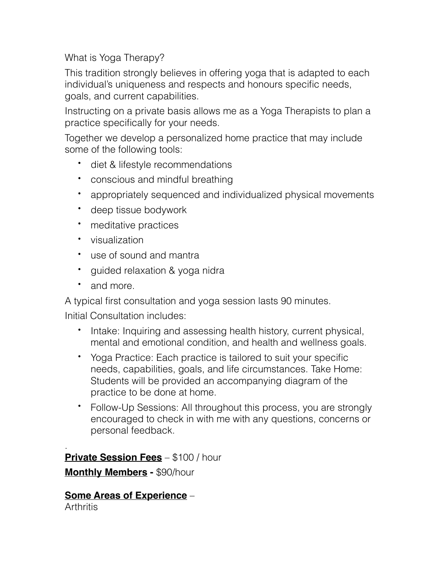What is Yoga Therapy?

This tradition strongly believes in offering yoga that is adapted to each individual's uniqueness and respects and honours specific needs, goals, and current capabilities.

Instructing on a private basis allows me as a Yoga Therapists to plan a practice specifically for your needs.

Together we develop a personalized home practice that may include some of the following tools:

- diet & lifestyle recommendations
- conscious and mindful breathing
- appropriately sequenced and individualized physical movements
- deep tissue bodywork
- meditative practices
- visualization
- use of sound and mantra
- guided relaxation & yoga nidra
- and more.

A typical first consultation and yoga session lasts 90 minutes.

Initial Consultation includes:

- Intake: Inquiring and assessing health history, current physical, mental and emotional condition, and health and wellness goals.
- Yoga Practice: Each practice is tailored to suit your specific needs, capabilities, goals, and life circumstances. Take Home: Students will be provided an accompanying diagram of the practice to be done at home.
- Follow-Up Sessions: All throughout this process, you are strongly encouraged to check in with me with any questions, concerns or personal feedback.

. **Private Session Fees** – \$100 / hour **Monthly Members -** \$90/hour

**Some Areas of Experience** – **Arthritis**